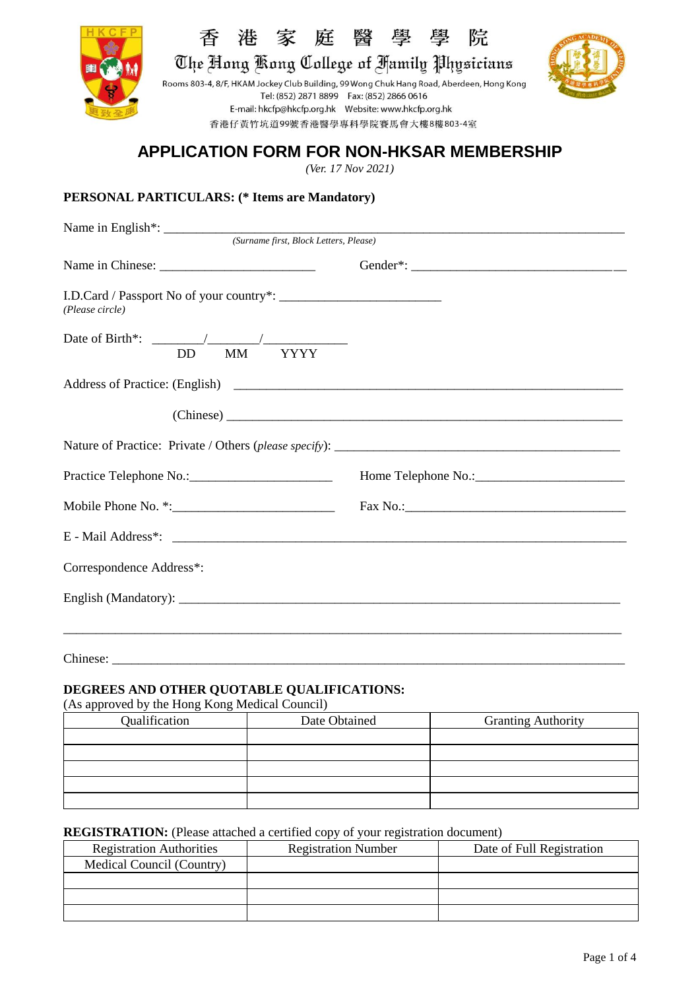

香 港家庭 學 院 瑿 壆

The Hong Kong College of Hamily Physicians

Rooms 803-4, 8/F, HKAM Jockey Club Building, 99 Wong Chuk Hang Road, Aberdeen, Hong Kong Tel: (852) 2871 8899 Fax: (852) 2866 0616 香港仔黃竹坑道99號香港醫學專科學院賽馬會大樓8樓803-4室



# **APPLICATION FORM FOR NON-HKSAR MEMBERSHIP**

*(Ver. 17 Nov 2021)*

# **PERSONAL PARTICULARS: (\* Items are Mandatory)**

| (Surname first, Block Letters, Please) |  |  |  |  |
|----------------------------------------|--|--|--|--|
|                                        |  |  |  |  |
| (Please circle)                        |  |  |  |  |
| MM YYYY<br><b>DD</b>                   |  |  |  |  |
|                                        |  |  |  |  |
|                                        |  |  |  |  |
|                                        |  |  |  |  |
|                                        |  |  |  |  |
|                                        |  |  |  |  |
|                                        |  |  |  |  |
| Correspondence Address*:               |  |  |  |  |
|                                        |  |  |  |  |
|                                        |  |  |  |  |
|                                        |  |  |  |  |

Chinese: \_\_\_\_\_\_\_\_\_\_\_\_\_\_\_\_\_\_\_\_\_\_\_\_\_\_\_\_\_\_\_\_\_\_\_\_\_\_\_\_\_\_\_\_\_\_\_\_\_\_\_\_\_\_\_\_\_\_\_\_\_\_\_\_\_\_\_\_\_\_\_\_\_\_\_\_\_\_\_

## **DEGREES AND OTHER QUOTABLE QUALIFICATIONS:**

(As approved by the Hong Kong Medical Council)

| Qualification | Date Obtained | <b>Granting Authority</b> |  |
|---------------|---------------|---------------------------|--|
|               |               |                           |  |
|               |               |                           |  |
|               |               |                           |  |
|               |               |                           |  |
|               |               |                           |  |

### **REGISTRATION:** (Please attached a certified copy of your registration document)

| <b>Registration Authorities</b> | <b>Registration Number</b> | Date of Full Registration |
|---------------------------------|----------------------------|---------------------------|
| Medical Council (Country)       |                            |                           |
|                                 |                            |                           |
|                                 |                            |                           |
|                                 |                            |                           |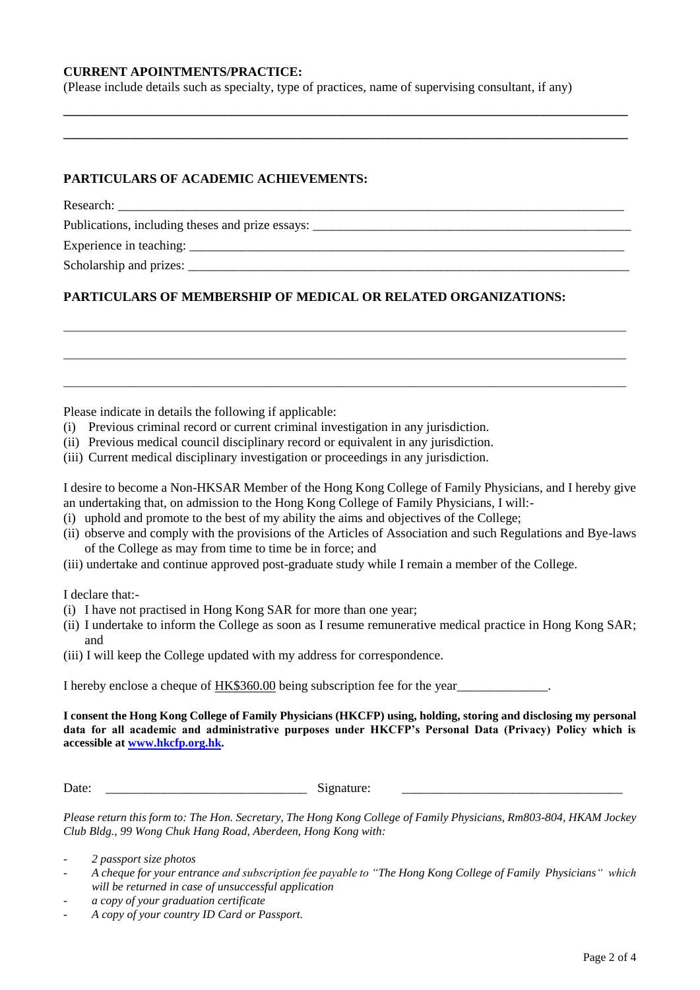### **CURRENT APOINTMENTS/PRACTICE:**

(Please include details such as specialty, type of practices, name of supervising consultant, if any)

**\_\_\_\_\_\_\_\_\_\_\_\_\_\_\_\_\_\_\_\_\_\_\_\_\_\_\_\_\_\_\_\_\_\_\_\_\_\_\_\_\_\_\_\_\_\_\_\_\_\_\_\_\_\_\_\_\_\_\_\_\_\_\_\_\_\_\_\_\_\_\_\_\_\_\_\_\_\_\_\_\_\_\_\_\_\_\_ \_\_\_\_\_\_\_\_\_\_\_\_\_\_\_\_\_\_\_\_\_\_\_\_\_\_\_\_\_\_\_\_\_\_\_\_\_\_\_\_\_\_\_\_\_\_\_\_\_\_\_\_\_\_\_\_\_\_\_\_\_\_\_\_\_\_\_\_\_\_\_\_\_\_\_\_\_\_\_\_\_\_\_\_\_\_\_**

## **PARTICULARS OF ACADEMIC ACHIEVEMENTS:**

Research: \_\_\_\_\_\_\_\_\_\_\_\_\_\_\_\_\_\_\_\_\_\_\_\_\_\_\_\_\_\_\_\_\_\_\_\_\_\_\_\_\_\_\_\_\_\_\_\_\_\_\_\_\_\_\_\_\_\_\_\_\_\_\_\_\_\_\_\_\_\_\_\_\_\_\_\_\_\_

Publications, including theses and prize essays: \_\_\_\_\_\_\_\_\_\_\_\_\_\_\_\_\_\_\_\_\_\_\_\_\_\_\_\_\_\_\_\_

Experience in teaching: \_\_\_\_\_\_\_\_\_\_\_\_\_\_\_\_\_\_\_\_\_\_\_\_\_\_\_\_\_\_\_\_\_\_\_\_\_\_\_\_\_\_\_\_\_\_\_\_\_\_\_\_\_\_\_\_\_\_\_\_\_\_\_\_\_\_\_

Scholarship and prizes:

# **PARTICULARS OF MEMBERSHIP OF MEDICAL OR RELATED ORGANIZATIONS:**

\_\_\_\_\_\_\_\_\_\_\_\_\_\_\_\_\_\_\_\_\_\_\_\_\_\_\_\_\_\_\_\_\_\_\_\_\_\_\_\_\_\_\_\_\_\_\_\_\_\_\_\_\_\_\_\_\_\_\_\_\_\_\_\_\_\_\_\_\_\_\_\_\_\_\_\_\_\_\_\_\_\_\_\_\_\_\_\_\_\_\_\_\_\_\_

\_\_\_\_\_\_\_\_\_\_\_\_\_\_\_\_\_\_\_\_\_\_\_\_\_\_\_\_\_\_\_\_\_\_\_\_\_\_\_\_\_\_\_\_\_\_\_\_\_\_\_\_\_\_\_\_\_\_\_\_\_\_\_\_\_\_\_\_\_\_\_\_\_\_\_\_\_\_\_\_\_\_\_\_\_\_\_\_\_\_\_\_\_\_\_

\_\_\_\_\_\_\_\_\_\_\_\_\_\_\_\_\_\_\_\_\_\_\_\_\_\_\_\_\_\_\_\_\_\_\_\_\_\_\_\_\_\_\_\_\_\_\_\_\_\_\_\_\_\_\_\_\_\_\_\_\_\_\_\_\_\_\_\_\_\_\_\_\_\_\_\_\_\_\_\_\_\_\_\_\_\_\_\_\_\_\_\_\_\_\_

Please indicate in details the following if applicable:

- (i) Previous criminal record or current criminal investigation in any jurisdiction.
- (ii) Previous medical council disciplinary record or equivalent in any jurisdiction.
- (iii) Current medical disciplinary investigation or proceedings in any jurisdiction.

I desire to become a Non-HKSAR Member of the Hong Kong College of Family Physicians, and I hereby give an undertaking that, on admission to the Hong Kong College of Family Physicians, I will:-

- (i) uphold and promote to the best of my ability the aims and objectives of the College;
- (ii) observe and comply with the provisions of the Articles of Association and such Regulations and Bye-laws of the College as may from time to time be in force; and
- (iii) undertake and continue approved post-graduate study while I remain a member of the College.

I declare that:-

- (i) I have not practised in Hong Kong SAR for more than one year;
- (ii) I undertake to inform the College as soon as I resume remunerative medical practice in Hong Kong SAR; and
- (iii) I will keep the College updated with my address for correspondence.

I hereby enclose a cheque of HK\$360.00 being subscription fee for the year

**I consent the Hong Kong College of Family Physicians (HKCFP) using, holding, storing and disclosing my personal data for all academic and administrative purposes under HKCFP's Personal Data (Privacy) Policy which is accessible at [www.hkcfp.org.hk.](../2017/www.hkcfp.org.hk)**

Date: \_\_\_\_\_\_\_\_\_\_\_\_\_\_\_\_\_\_\_\_\_\_\_\_\_\_\_\_\_\_\_ Signature: \_\_\_\_\_\_\_\_\_\_\_\_\_\_\_\_\_\_\_\_\_\_\_\_\_\_\_\_\_\_\_\_\_\_

*Please return this form to: The Hon. Secretary, The Hong Kong College of Family Physicians, Rm803-804, HKAM Jockey Club Bldg., 99 Wong Chuk Hang Road, Aberdeen, Hong Kong with:*

- *2 passport size photos*
- *A cheque for your entrance and subscription fee payable to "The Hong Kong College of Family Physicians" which will be returned in case of unsuccessful application*
- *a copy of your graduation certificate*
- *A copy of your country ID Card or Passport.*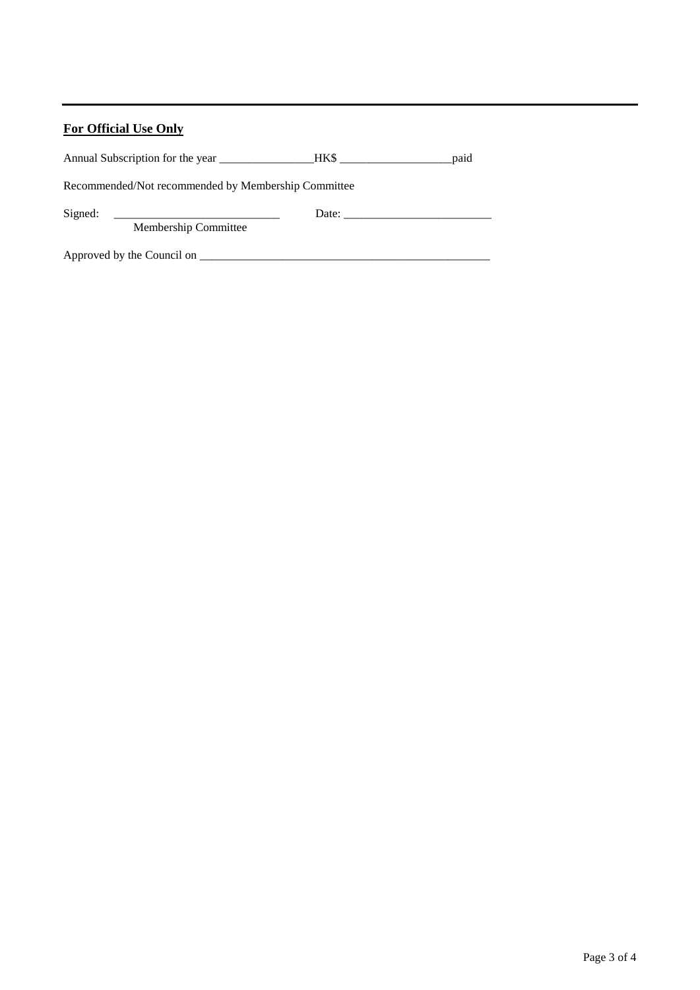# **For Official Use Only**

|                                                     | HKS FOR THE STATE OF THE STATE OF THE STATE OF THE STATE OF THE STATE OF THE STATE OF THE STATE OF THE STATE O | paid |  |  |  |
|-----------------------------------------------------|----------------------------------------------------------------------------------------------------------------|------|--|--|--|
| Recommended/Not recommended by Membership Committee |                                                                                                                |      |  |  |  |
| Signed:                                             | Date:                                                                                                          |      |  |  |  |
| Membership Committee                                |                                                                                                                |      |  |  |  |
| Approved by the Council on _____                    |                                                                                                                |      |  |  |  |